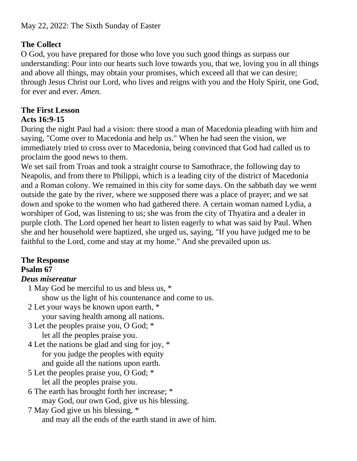# **The Collect**

O God, you have prepared for those who love you such good things as surpass our understanding: Pour into our hearts such love towards you, that we, loving you in all things and above all things, may obtain your promises, which exceed all that we can desire; through Jesus Christ our Lord, who lives and reigns with you and the Holy Spirit, one God, for ever and ever. *Amen.*

#### **The First Lesson Acts 16:9-15**

During the night Paul had a vision: there stood a man of Macedonia pleading with him and saying, "Come over to Macedonia and help us." When he had seen the vision, we immediately tried to cross over to Macedonia, being convinced that God had called us to proclaim the good news to them.

We set sail from Troas and took a straight course to Samothrace, the following day to Neapolis, and from there to Philippi, which is a leading city of the district of Macedonia and a Roman colony. We remained in this city for some days. On the sabbath day we went outside the gate by the river, where we supposed there was a place of prayer; and we sat down and spoke to the women who had gathered there. A certain woman named Lydia, a worshiper of God, was listening to us; she was from the city of Thyatira and a dealer in purple cloth. The Lord opened her heart to listen eagerly to what was said by Paul. When she and her household were baptized, she urged us, saying, "If you have judged me to be faithful to the Lord, come and stay at my home." And she prevailed upon us.

# **The Response**

## **Psalm 67**

## *Deus misereatur*

- 1 May God be merciful to us and bless us, \* show us the light of his countenance and come to us.
- 2 Let your ways be known upon earth, \* your saving health among all nations.
- 3 Let the peoples praise you, O God; \* let all the peoples praise you.
- 4 Let the nations be glad and sing for joy, \* for you judge the peoples with equity and guide all the nations upon earth.
- 5 Let the peoples praise you, O God; \* let all the peoples praise you.
- 6 The earth has brought forth her increase; \* may God, our own God, give us his blessing.
- 7 May God give us his blessing, \* and may all the ends of the earth stand in awe of him.